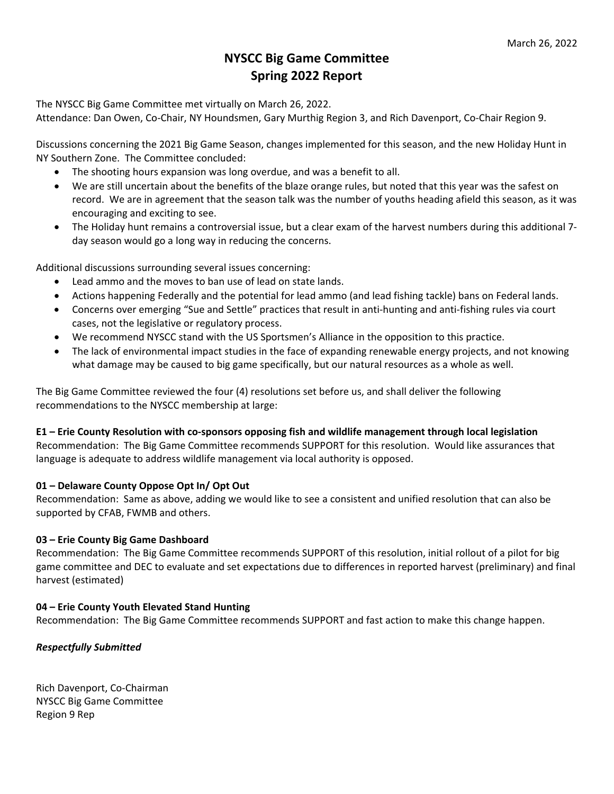# **NYSCC Big Game Committee Spring 2022 Report**

The NYSCC Big Game Committee met virtually on March 26, 2022.

Attendance: Dan Owen, Co‐Chair, NY Houndsmen, Gary Murthig Region 3, and Rich Davenport, Co‐Chair Region 9.

Discussions concerning the 2021 Big Game Season, changes implemented for this season, and the new Holiday Hunt in NY Southern Zone. The Committee concluded:

- The shooting hours expansion was long overdue, and was a benefit to all.
- We are still uncertain about the benefits of the blaze orange rules, but noted that this year was the safest on record. We are in agreement that the season talk was the number of youths heading afield this season, as it was encouraging and exciting to see.
- The Holiday hunt remains a controversial issue, but a clear exam of the harvest numbers during this additional 7‐ day season would go a long way in reducing the concerns.

Additional discussions surrounding several issues concerning:

- Lead ammo and the moves to ban use of lead on state lands.
- Actions happening Federally and the potential for lead ammo (and lead fishing tackle) bans on Federal lands.
- Concerns over emerging "Sue and Settle" practices that result in anti-hunting and anti-fishing rules via court cases, not the legislative or regulatory process.
- We recommend NYSCC stand with the US Sportsmen's Alliance in the opposition to this practice.
- The lack of environmental impact studies in the face of expanding renewable energy projects, and not knowing what damage may be caused to big game specifically, but our natural resources as a whole as well.

The Big Game Committee reviewed the four (4) resolutions set before us, and shall deliver the following recommendations to the NYSCC membership at large:

#### E1 – Erie County Resolution with co-sponsors opposing fish and wildlife management through local legislation

Recommendation: The Big Game Committee recommends SUPPORT for this resolution. Would like assurances that language is adequate to address wildlife management via local authority is opposed.

#### **01 – Delaware County Oppose Opt In/ Opt Out**

Recommendation: Same as above, adding we would like to see a consistent and unified resolution that can also be supported by CFAB, FWMB and others.

#### **03 – Erie County Big Game Dashboard**

Recommendation: The Big Game Committee recommends SUPPORT of this resolution, initial rollout of a pilot for big game committee and DEC to evaluate and set expectations due to differences in reported harvest (preliminary) and final harvest (estimated)

#### **04 – Erie County Youth Elevated Stand Hunting**

Recommendation: The Big Game Committee recommends SUPPORT and fast action to make this change happen.

## *Respectfully Submitted*

Rich Davenport, Co‐Chairman NYSCC Big Game Committee Region 9 Rep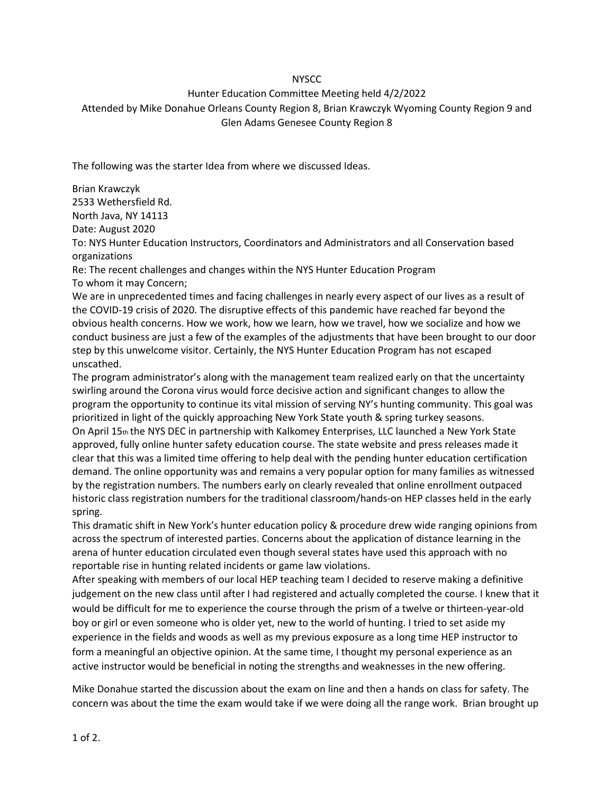#### **NYSCC**

### Hunter Education Committee Meeting held 4/2/2022

## Attended by Mike Donahue Orleans County Region 8, Brian Krawczyk Wyoming County Region 9 and Glen Adams Genesee County Region 8

The following was the starter Idea from where we discussed Ideas.

Brian Krawczyk 2533 Wethersfield Rd. North Java, NY 14113 Date: August 2020 To: NYS Hunter Education Instructors, Coordinators and Administrators and all Conservation based organizations Re: The recent challenges and changes within the NYS Hunter Education Program To whom it may Concern;

We are in unprecedented times and facing challenges in nearly every aspect of our lives as a result of the COVID-19 crisis of 2020. The disruptive effects of this pandemic have reached far beyond the obvious health concerns. How we work, how we learn, how we travel, how we socialize and how we conduct business are just a few of the examples of the adjustments that have been brought to our door step by this unwelcome visitor. Certainly, the NYS Hunter Education Program has not escaped unscathed.

The program administrator's along with the management team realized early on that the uncertainty swirling around the Corona virus would force decisive action and significant changes to allow the program the opportunity to continue its vital mission of serving NY's hunting community. This goal was prioritized in light of the quickly approaching New York State youth & spring turkey seasons. On April 15th the NYS DEC in partnership with Kalkomey Enterprises, LLC launched a New York State approved, fully online hunter safety education course. The state website and press releases made it clear that this was a limited time offering to help deal with the pending hunter education certification demand. The online opportunity was and remains a very popular option for many families as witnessed by the registration numbers. The numbers early on clearly revealed that online enrollment outpaced historic class registration numbers for the traditional classroom/hands-on HEP classes held in the early spring.

This dramatic shift in New York's hunter education policy & procedure drew wide ranging opinions from across the spectrum of interested parties. Concerns about the application of distance learning in the arena of hunter education circulated even though several states have used this approach with no reportable rise in hunting related incidents or game law violations.

After speaking with members of our local HEP teaching team I decided to reserve making a definitive judgement on the new class until after I had registered and actually completed the course. I knew that it would be difficult for me to experience the course through the prism of a twelve or thirteen-year-old boy or girl or even someone who is older yet, new to the world of hunting. I tried to set aside my experience in the fields and woods as well as my previous exposure as a long time HEP instructor to form a meaningful an objective opinion. At the same time, I thought my personal experience as an active instructor would be beneficial in noting the strengths and weaknesses in the new offering.

Mike Donahue started the discussion about the exam on line and then a hands on class for safety. The concern was about the time the exam would take if we were doing all the range work. Brian brought up